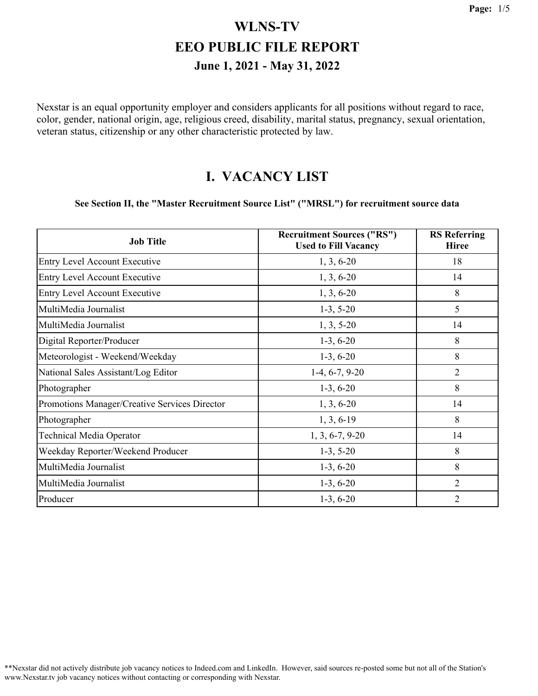Nexstar is an equal opportunity employer and considers applicants for all positions without regard to race, color, gender, national origin, age, religious creed, disability, marital status, pregnancy, sexual orientation, veteran status, citizenship or any other characteristic protected by law.

#### **I. VACANCY LIST**

#### **See Section II, the "Master Recruitment Source List" ("MRSL") for recruitment source data**

| <b>Job Title</b>                              | <b>Recruitment Sources ("RS")</b><br><b>Used to Fill Vacancy</b> | <b>RS</b> Referring<br><b>Hiree</b> |
|-----------------------------------------------|------------------------------------------------------------------|-------------------------------------|
| <b>Entry Level Account Executive</b>          | $1, 3, 6-20$                                                     | 18                                  |
| <b>Entry Level Account Executive</b>          | $1, 3, 6-20$                                                     | 14                                  |
| <b>Entry Level Account Executive</b>          | $1, 3, 6-20$                                                     | 8                                   |
| MultiMedia Journalist                         | $1-3, 5-20$                                                      | 5                                   |
| MultiMedia Journalist                         | $1, 3, 5-20$                                                     | 14                                  |
| Digital Reporter/Producer                     | $1-3, 6-20$                                                      | 8                                   |
| Meteorologist - Weekend/Weekday               | $1-3, 6-20$                                                      | 8                                   |
| National Sales Assistant/Log Editor           | $1-4, 6-7, 9-20$                                                 | $\overline{2}$                      |
| Photographer                                  | $1-3, 6-20$                                                      | 8                                   |
| Promotions Manager/Creative Services Director | $1, 3, 6-20$                                                     | 14                                  |
| Photographer                                  | $1, 3, 6-19$                                                     | 8                                   |
| <b>Technical Media Operator</b>               | $1, 3, 6-7, 9-20$                                                | 14                                  |
| Weekday Reporter/Weekend Producer             | $1-3, 5-20$                                                      | 8                                   |
| MultiMedia Journalist                         | $1-3, 6-20$                                                      | 8                                   |
| MultiMedia Journalist                         | $1-3, 6-20$                                                      | 2                                   |
| Producer                                      | $1-3, 6-20$                                                      | $\overline{2}$                      |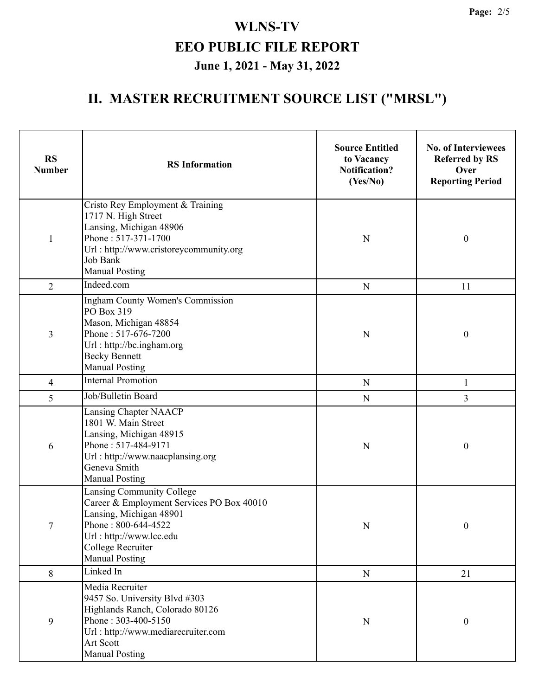# **II. MASTER RECRUITMENT SOURCE LIST ("MRSL")**

| <b>RS</b><br><b>Number</b> | <b>RS</b> Information                                                                                                                                                                             | <b>Source Entitled</b><br>to Vacancy<br><b>Notification?</b><br>(Yes/No) | <b>No. of Interviewees</b><br><b>Referred by RS</b><br>Over<br><b>Reporting Period</b> |
|----------------------------|---------------------------------------------------------------------------------------------------------------------------------------------------------------------------------------------------|--------------------------------------------------------------------------|----------------------------------------------------------------------------------------|
| $\mathbf{1}$               | Cristo Rey Employment & Training<br>1717 N. High Street<br>Lansing, Michigan 48906<br>Phone: 517-371-1700<br>Url: http://www.cristoreycommunity.org<br>Job Bank<br><b>Manual Posting</b>          | N                                                                        | $\boldsymbol{0}$                                                                       |
| $\overline{2}$             | Indeed.com                                                                                                                                                                                        | ${\bf N}$                                                                | 11                                                                                     |
| 3                          | <b>Ingham County Women's Commission</b><br>PO Box 319<br>Mason, Michigan 48854<br>Phone: 517-676-7200<br>Url: http://bc.ingham.org<br><b>Becky Bennett</b><br><b>Manual Posting</b>               | $\mathbf N$                                                              | $\boldsymbol{0}$                                                                       |
| $\overline{4}$             | <b>Internal Promotion</b>                                                                                                                                                                         | ${\bf N}$                                                                | $\mathbf{1}$                                                                           |
| 5                          | Job/Bulletin Board                                                                                                                                                                                | ${\bf N}$                                                                | $\overline{3}$                                                                         |
| 6                          | Lansing Chapter NAACP<br>1801 W. Main Street<br>Lansing, Michigan 48915<br>Phone: 517-484-9171<br>Url: http://www.naacplansing.org<br>Geneva Smith<br><b>Manual Posting</b>                       | $\mathbf N$                                                              | $\boldsymbol{0}$                                                                       |
| 7                          | Lansing Community College<br>Career & Employment Services PO Box 40010<br>Lansing, Michigan 48901<br>Phone: 800-644-4522<br>Url: http://www.lcc.edu<br>College Recruiter<br><b>Manual Posting</b> | ${\bf N}$                                                                | $\boldsymbol{0}$                                                                       |
| 8                          | Linked In                                                                                                                                                                                         | ${\bf N}$                                                                | 21                                                                                     |
| 9                          | Media Recruiter<br>9457 So. University Blvd #303<br>Highlands Ranch, Colorado 80126<br>Phone: 303-400-5150<br>Url: http://www.mediarecruiter.com<br>Art Scott<br><b>Manual Posting</b>            | $\mathbf N$                                                              | $\boldsymbol{0}$                                                                       |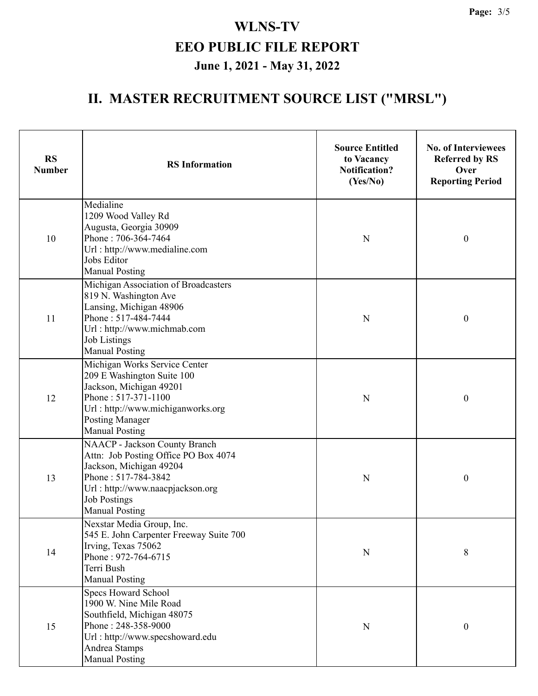# **II. MASTER RECRUITMENT SOURCE LIST ("MRSL")**

| <b>RS</b><br><b>Number</b> | <b>RS</b> Information                                                                                                                                                                                       | <b>Source Entitled</b><br>to Vacancy<br><b>Notification?</b><br>(Yes/No) | <b>No. of Interviewees</b><br><b>Referred by RS</b><br>Over<br><b>Reporting Period</b> |
|----------------------------|-------------------------------------------------------------------------------------------------------------------------------------------------------------------------------------------------------------|--------------------------------------------------------------------------|----------------------------------------------------------------------------------------|
| 10                         | Medialine<br>1209 Wood Valley Rd<br>Augusta, Georgia 30909<br>Phone: 706-364-7464<br>Url: http://www.medialine.com<br>Jobs Editor<br><b>Manual Posting</b>                                                  | N                                                                        | $\boldsymbol{0}$                                                                       |
| 11                         | Michigan Association of Broadcasters<br>819 N. Washington Ave<br>Lansing, Michigan 48906<br>Phone: 517-484-7444<br>Url: http://www.michmab.com<br><b>Job Listings</b><br><b>Manual Posting</b>              | $\mathbf N$                                                              | $\boldsymbol{0}$                                                                       |
| 12                         | Michigan Works Service Center<br>209 E Washington Suite 100<br>Jackson, Michigan 49201<br>Phone: 517-371-1100<br>Url: http://www.michiganworks.org<br><b>Posting Manager</b><br><b>Manual Posting</b>       | $\mathbf N$                                                              | $\boldsymbol{0}$                                                                       |
| 13                         | NAACP - Jackson County Branch<br>Attn: Job Posting Office PO Box 4074<br>Jackson, Michigan 49204<br>Phone: 517-784-3842<br>Url: http://www.naacpjackson.org<br><b>Job Postings</b><br><b>Manual Posting</b> | N                                                                        | $\boldsymbol{0}$                                                                       |
| 14                         | Nexstar Media Group, Inc.<br>545 E. John Carpenter Freeway Suite 700<br>Irving, Texas 75062<br>Phone: 972-764-6715<br>Terri Bush<br><b>Manual Posting</b>                                                   | N                                                                        | 8                                                                                      |
| 15                         | <b>Specs Howard School</b><br>1900 W. Nine Mile Road<br>Southfield, Michigan 48075<br>Phone: 248-358-9000<br>Url: http://www.specshoward.edu<br>Andrea Stamps<br><b>Manual Posting</b>                      | N                                                                        | $\boldsymbol{0}$                                                                       |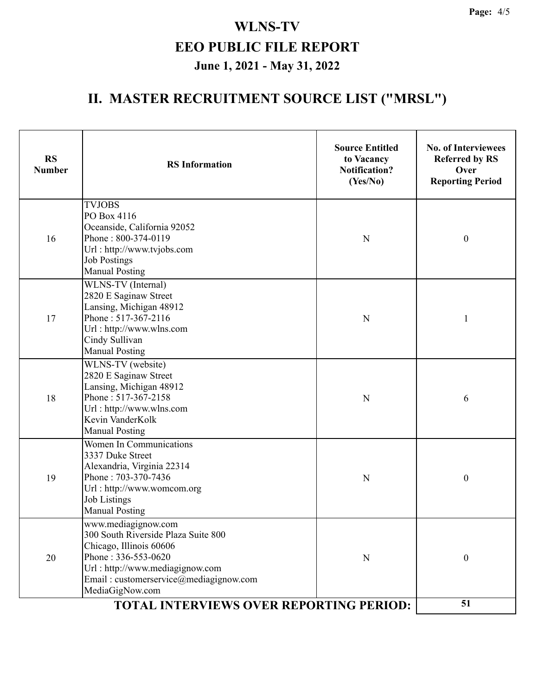# **II. MASTER RECRUITMENT SOURCE LIST ("MRSL")**

| <b>RS</b><br><b>Number</b>                     | <b>RS</b> Information                                                                                                                                                                                        | <b>Source Entitled</b><br>to Vacancy<br><b>Notification?</b><br>(Yes/No) | <b>No. of Interviewees</b><br><b>Referred by RS</b><br>Over<br><b>Reporting Period</b> |
|------------------------------------------------|--------------------------------------------------------------------------------------------------------------------------------------------------------------------------------------------------------------|--------------------------------------------------------------------------|----------------------------------------------------------------------------------------|
| 16                                             | <b>TVJOBS</b><br>PO Box 4116<br>Oceanside, California 92052<br>Phone: 800-374-0119<br>Url: http://www.tvjobs.com<br><b>Job Postings</b><br><b>Manual Posting</b>                                             | $\mathbf N$                                                              | $\boldsymbol{0}$                                                                       |
| 17                                             | WLNS-TV (Internal)<br>2820 E Saginaw Street<br>Lansing, Michigan 48912<br>Phone: 517-367-2116<br>Url: http://www.wlns.com<br>Cindy Sullivan<br><b>Manual Posting</b>                                         | $\mathbf N$                                                              | $\mathbf{1}$                                                                           |
| 18                                             | WLNS-TV (website)<br>2820 E Saginaw Street<br>Lansing, Michigan 48912<br>Phone: 517-367-2158<br>Url: http://www.wlns.com<br>Kevin VanderKolk<br><b>Manual Posting</b>                                        | $\mathbf N$                                                              | 6                                                                                      |
| 19                                             | <b>Women In Communications</b><br>3337 Duke Street<br>Alexandria, Virginia 22314<br>Phone: 703-370-7436<br>Url: http://www.womcom.org<br><b>Job Listings</b><br><b>Manual Posting</b>                        | N                                                                        | $\boldsymbol{0}$                                                                       |
| 20                                             | www.mediagignow.com<br>300 South Riverside Plaza Suite 800<br>Chicago, Illinois 60606<br>Phone: 336-553-0620<br>Url: http://www.mediagignow.com<br>Email: customerservice@mediagignow.com<br>MediaGigNow.com | $\mathbf N$                                                              | $\boldsymbol{0}$                                                                       |
| <b>TOTAL INTERVIEWS OVER REPORTING PERIOD:</b> |                                                                                                                                                                                                              |                                                                          | 51                                                                                     |